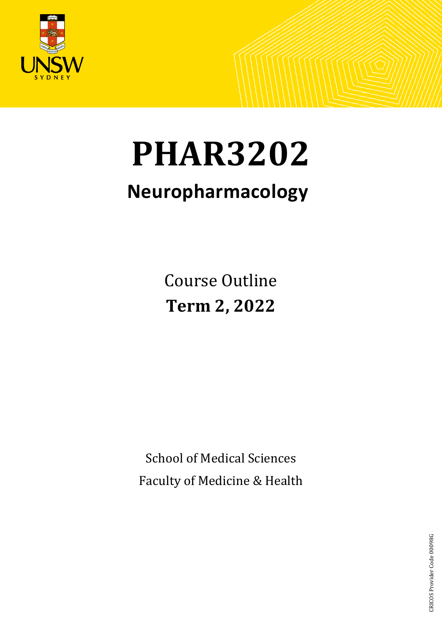

# **PHAR3202**

# **Neuropharmacology**

Course Outline **Term 2, 2022**

School of Medical Sciences Faculty of Medicine & Health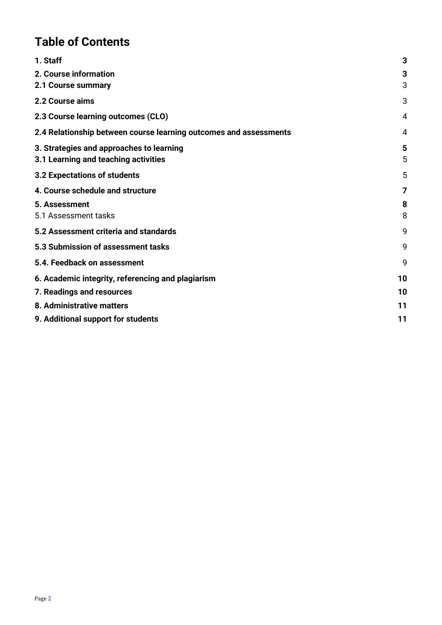# **Table of Contents**

| 1. Staff                                                          | 3  |
|-------------------------------------------------------------------|----|
| 2. Course information                                             | 3  |
| 2.1 Course summary                                                | 3  |
| 2.2 Course aims                                                   | 3  |
| 2.3 Course learning outcomes (CLO)                                | 4  |
| 2.4 Relationship between course learning outcomes and assessments | 4  |
| 3. Strategies and approaches to learning                          | 5  |
| 3.1 Learning and teaching activities                              | 5  |
| 3.2 Expectations of students                                      | 5  |
| 4. Course schedule and structure                                  | 7  |
| 5. Assessment                                                     | 8  |
| 5.1 Assessment tasks                                              | 8  |
| 5.2 Assessment criteria and standards                             | 9  |
| 5.3 Submission of assessment tasks                                | 9  |
| 5.4. Feedback on assessment                                       | 9  |
| 6. Academic integrity, referencing and plagiarism                 | 10 |
| 7. Readings and resources                                         | 10 |
| 8. Administrative matters                                         | 11 |
| 9. Additional support for students                                | 11 |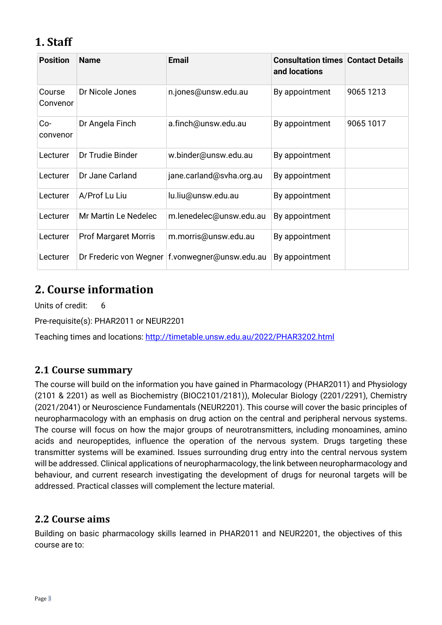# <span id="page-2-0"></span>**1. Staff**

| <b>Position</b>    | <b>Name</b>                 | <b>Email</b>                                   | <b>Consultation times Contact Details</b><br>and locations |           |
|--------------------|-----------------------------|------------------------------------------------|------------------------------------------------------------|-----------|
| Course<br>Convenor | Dr Nicole Jones             | n.jones@unsw.edu.au                            | By appointment                                             | 90651213  |
| Co-<br>convenor    | Dr Angela Finch             | a.finch@unsw.edu.au                            | By appointment                                             | 9065 1017 |
| Lecturer           | Dr Trudie Binder            | w.binder@unsw.edu.au                           | By appointment                                             |           |
| Lecturer           | Dr Jane Carland             | jane.carland@svha.org.au                       | By appointment                                             |           |
| Lecturer           | A/Prof Lu Liu               | lu.liu@unsw.edu.au                             | By appointment                                             |           |
| Lecturer           | Mr Martin Le Nedelec        | m.lenedelec@unsw.edu.au                        | By appointment                                             |           |
| Lecturer           | <b>Prof Margaret Morris</b> | m.morris@unsw.edu.au                           | By appointment                                             |           |
| Lecturer           |                             | Dr Frederic von Wegner f.vonwegner@unsw.edu.au | By appointment                                             |           |

# <span id="page-2-1"></span>**2. Course information**

Units of credit: 6

Pre-requisite(s): PHAR2011 or NEUR2201

Teaching times and locations:<http://timetable.unsw.edu.au/2022/PHAR3202.html>

### <span id="page-2-2"></span>**2.1 Course summary**

The course will build on the information you have gained in Pharmacology (PHAR2011) and Physiology (2101 & 2201) as well as Biochemistry (BIOC2101/2181)), Molecular Biology (2201/2291), Chemistry (2021/2041) or Neuroscience Fundamentals (NEUR2201). This course will cover the basic principles of neuropharmacology with an emphasis on drug action on the central and peripheral nervous systems. The course will focus on how the major groups of neurotransmitters, including monoamines, amino acids and neuropeptides, influence the operation of the nervous system. Drugs targeting these transmitter systems will be examined. Issues surrounding drug entry into the central nervous system will be addressed. Clinical applications of neuropharmacology, the link between neuropharmacology and behaviour, and current research investigating the development of drugs for neuronal targets will be addressed. Practical classes will complement the lecture material.

#### <span id="page-2-3"></span>**2.2 Course aims**

Building on basic pharmacology skills learned in PHAR2011 and NEUR2201, the objectives of this course are to: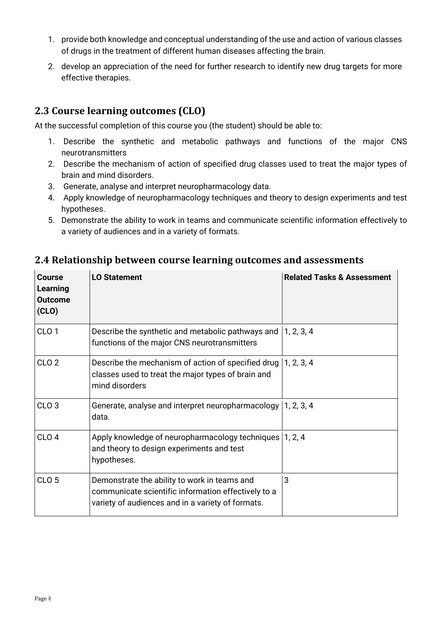- 1. provide both knowledge and conceptual understanding of the use and action of various classes of drugs in the treatment of different human diseases affecting the brain.
- 2. develop an appreciation of the need for further research to identify new drug targets for more effective therapies.

## <span id="page-3-0"></span>**2.3 Course learning outcomes (CLO)**

At the successful completion of this course you (the student) should be able to:

- 1. Describe the synthetic and metabolic pathways and functions of the major CNS neurotransmitters
- 2. Describe the mechanism of action of specified drug classes used to treat the major types of brain and mind disorders.
- 3. Generate, analyse and interpret neuropharmacology data.
- 4. Apply knowledge of neuropharmacology techniques and theory to design experiments and test hypotheses.
- 5. Demonstrate the ability to work in teams and communicate scientific information effectively to a variety of audiences and in a variety of formats.

#### <span id="page-3-1"></span>**2.4 Relationship between course learning outcomes and assessments**

| Course<br><b>Learning</b><br><b>Outcome</b><br>(CLO) | <b>LO Statement</b>                                                                                                                                      | <b>Related Tasks &amp; Assessment</b> |
|------------------------------------------------------|----------------------------------------------------------------------------------------------------------------------------------------------------------|---------------------------------------|
| CLO <sub>1</sub>                                     | Describe the synthetic and metabolic pathways and  1, 2, 3, 4<br>functions of the major CNS neurotransmitters                                            |                                       |
| CLO <sub>2</sub>                                     | Describe the mechanism of action of specified drug   1, 2, 3, 4<br>classes used to treat the major types of brain and<br>mind disorders                  |                                       |
| CLO <sub>3</sub>                                     | Generate, analyse and interpret neuropharmacology   1, 2, 3, 4<br>data.                                                                                  |                                       |
| CLO <sub>4</sub>                                     | Apply knowledge of neuropharmacology techniques   1, 2, 4<br>and theory to design experiments and test<br>hypotheses.                                    |                                       |
| CLO <sub>5</sub>                                     | Demonstrate the ability to work in teams and<br>communicate scientific information effectively to a<br>variety of audiences and in a variety of formats. | 3                                     |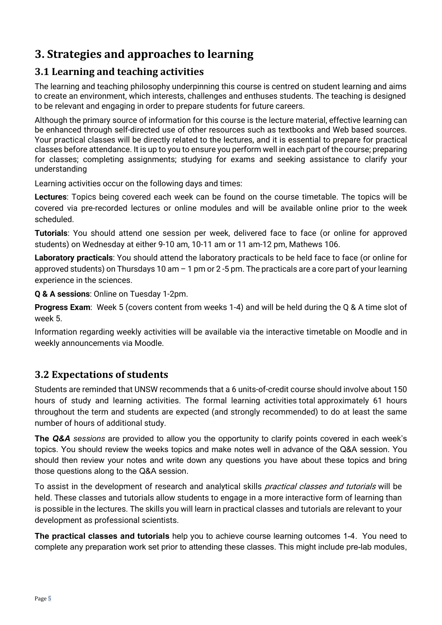# <span id="page-4-0"></span>**3. Strategies and approaches to learning**

### <span id="page-4-1"></span>**3.1 Learning and teaching activities**

The learning and teaching philosophy underpinning this course is centred on student learning and aims to create an environment, which interests, challenges and enthuses students. The teaching is designed to be relevant and engaging in order to prepare students for future careers.

Although the primary source of information for this course is the lecture material, effective learning can be enhanced through self-directed use of other resources such as textbooks and Web based sources. Your practical classes will be directly related to the lectures, and it is essential to prepare for practical classes before attendance. It is up to you to ensure you perform well in each part of the course; preparing for classes; completing assignments; studying for exams and seeking assistance to clarify your understanding

Learning activities occur on the following days and times:

**Lectures**: Topics being covered each week can be found on the course timetable. The topics will be covered via pre-recorded lectures or online modules and will be available online prior to the week scheduled.

**Tutorials**: You should attend one session per week, delivered face to face (or online for approved students) on Wednesday at either 9-10 am, 10-11 am or 11 am-12 pm, Mathews 106.

**Laboratory practicals**: You should attend the laboratory practicals to be held face to face (or online for approved students) on Thursdays 10 am  $-$  1 pm or 2 -5 pm. The practicals are a core part of your learning experience in the sciences.

**Q & A sessions**: Online on Tuesday 1-2pm.

**Progress Exam**: Week 5 (covers content from weeks 1-4) and will be held during the Q & A time slot of week 5.

Information regarding weekly activities will be available via the interactive timetable on Moodle and in weekly announcements via Moodle.

#### <span id="page-4-2"></span>**3.2 Expectations of students**

Students are reminded that UNSW recommends that a 6 units-of-credit course should involve about 150 hours of study and learning activities. The formal learning activities total approximately 61 hours throughout the term and students are expected (and strongly recommended) to do at least the same number of hours of additional study.

**The** *Q&A sessions* are provided to allow you the opportunity to clarify points covered in each week's topics. You should review the weeks topics and make notes well in advance of the Q&A session. You should then review your notes and write down any questions you have about these topics and bring those questions along to the Q&A session.

To assist in the development of research and analytical skills *practical classes and tutorials* will be held. These classes and tutorials allow students to engage in a more interactive form of learning than is possible in the lectures. The skills you will learn in practical classes and tutorials are relevant to your development as professional scientists.

**The practical classes and tutorials** help you to achieve course learning outcomes 1-4. You need to complete any preparation work set prior to attending these classes. This might include pre-lab modules,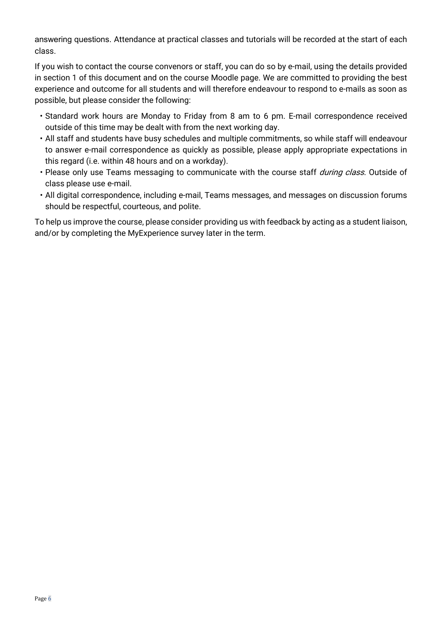answering questions. Attendance at practical classes and tutorials will be recorded at the start of each class.

If you wish to contact the course convenors or staff, you can do so by e-mail, using the details provided in section 1 of this document and on the course Moodle page. We are committed to providing the best experience and outcome for all students and will therefore endeavour to respond to e-mails as soon as possible, but please consider the following:

- Standard work hours are Monday to Friday from 8 am to 6 pm. E-mail correspondence received outside of this time may be dealt with from the next working day.
- All staff and students have busy schedules and multiple commitments, so while staff will endeavour to answer e-mail correspondence as quickly as possible, please apply appropriate expectations in this regard (i.e. within 48 hours and on a workday).
- Please only use Teams messaging to communicate with the course staff *during class*. Outside of class please use e-mail.
- All digital correspondence, including e-mail, Teams messages, and messages on discussion forums should be respectful, courteous, and polite.

To help us improve the course, please consider providing us with feedback by acting as a student liaison, and/or by completing the MyExperience survey later in the term.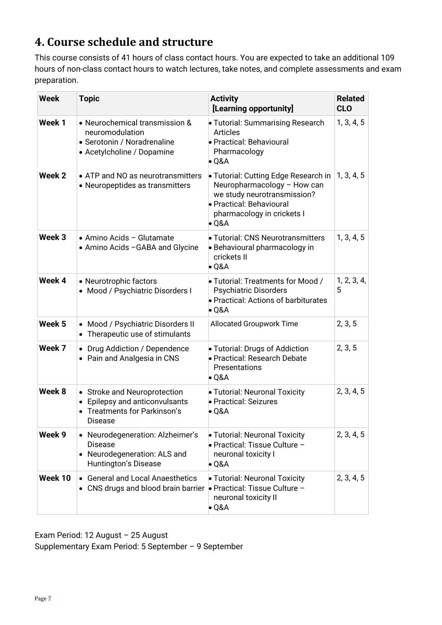# <span id="page-6-0"></span>**4. Course schedule and structure**

This course consists of 41 hours of class contact hours. You are expected to take an additional 109 hours of non-class contact hours to watch lectures, take notes, and complete assessments and exam preparation.

| <b>Week</b>       | <b>Topic</b>                                                                                                        | <b>Activity</b><br>[Learning opportunity]                                                                                                                                     | <b>Related</b><br><b>CLO</b> |
|-------------------|---------------------------------------------------------------------------------------------------------------------|-------------------------------------------------------------------------------------------------------------------------------------------------------------------------------|------------------------------|
| Week 1            | • Neurochemical transmission &<br>neuromodulation<br>• Serotonin / Noradrenaline<br>• Acetylcholine / Dopamine      | • Tutorial: Summarising Research<br><b>Articles</b><br>· Practical: Behavioural<br>Pharmacology<br>$\bullet$ Q&A                                                              | 1, 3, 4, 5                   |
| Week 2            | • ATP and NO as neurotransmitters<br>• Neuropeptides as transmitters                                                | • Tutorial: Cutting Edge Research in<br>Neuropharmacology - How can<br>we study neurotransmission?<br>· Practical: Behavioural<br>pharmacology in crickets I<br>$\bullet$ Q&A | 1, 3, 4, 5                   |
| Week 3            | • Amino Acids - Glutamate<br>• Amino Acids - GABA and Glycine                                                       | • Tutorial: CNS Neurotransmitters<br>• Behavioural pharmacology in<br>crickets II<br>$\bullet$ Q&A                                                                            | 1, 3, 4, 5                   |
| Week 4            | • Neurotrophic factors<br>• Mood / Psychiatric Disorders I                                                          | • Tutorial: Treatments for Mood /<br><b>Psychiatric Disorders</b><br>• Practical: Actions of barbiturates<br>$\bullet$ Q&A                                                    | 1, 2, 3, 4,<br>5             |
| Week <sub>5</sub> | • Mood / Psychiatric Disorders II<br>• Therapeutic use of stimulants                                                | <b>Allocated Groupwork Time</b>                                                                                                                                               | 2, 3, 5                      |
| Week 7            | • Drug Addiction / Dependence<br>• Pain and Analgesia in CNS                                                        | • Tutorial: Drugs of Addiction<br>· Practical: Research Debate<br>Presentations<br>$\bullet$ Q&A                                                                              | 2, 3, 5                      |
| Week 8            | • Stroke and Neuroprotection<br>Epilepsy and anticonvulsants<br><b>Treatments for Parkinson's</b><br><b>Disease</b> | • Tutorial: Neuronal Toxicity<br>· Practical: Seizures<br>$\bullet$ Q&A                                                                                                       | 2, 3, 4, 5                   |
| Week 9            | • Neurodegeneration: Alzheimer's<br>Disease<br>• Neurodegeneration: ALS and<br>Huntington's Disease                 | • Tutorial: Neuronal Toxicity<br>• Practical: Tissue Culture -<br>neuronal toxicity I<br>$\bullet$ Q&A                                                                        | 2, 3, 4, 5                   |
| Week 10           | • General and Local Anaesthetics<br>• CNS drugs and blood brain barrier                                             | • Tutorial: Neuronal Toxicity<br>• Practical: Tissue Culture -<br>neuronal toxicity II<br>$\bullet$ Q&A                                                                       | 2, 3, 4, 5                   |

Exam Period: 12 August – 25 August Supplementary Exam Period: 5 September – 9 September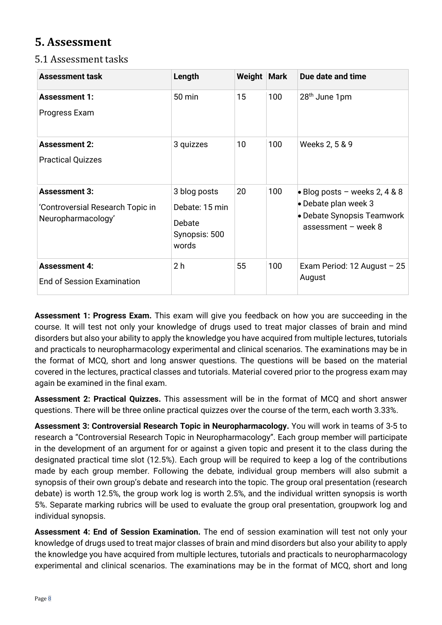# <span id="page-7-0"></span>**5. Assessment**

#### <span id="page-7-1"></span>5.1 Assessment tasks

| <b>Assessment task</b>                                                         | Length                                                             | Weight | <b>Mark</b> | Due date and time                                                                                            |
|--------------------------------------------------------------------------------|--------------------------------------------------------------------|--------|-------------|--------------------------------------------------------------------------------------------------------------|
| <b>Assessment 1:</b><br>Progress Exam                                          | 50 min                                                             | 15     | 100         | 28 <sup>th</sup> June 1pm                                                                                    |
| <b>Assessment 2:</b><br><b>Practical Quizzes</b>                               | 3 quizzes                                                          | 10     | 100         | Weeks 2, 5 & 9                                                                                               |
| <b>Assessment 3:</b><br>'Controversial Research Topic in<br>Neuropharmacology' | 3 blog posts<br>Debate: 15 min<br>Debate<br>Synopsis: 500<br>words | 20     | 100         | • Blog posts – weeks 2, 4 & 8<br>• Debate plan week 3<br>• Debate Synopsis Teamwork<br>assessment – week $8$ |
| <b>Assessment 4:</b><br><b>End of Session Examination</b>                      | 2 <sub>h</sub>                                                     | 55     | 100         | Exam Period: 12 August $-25$<br>August                                                                       |

**Assessment 1: Progress Exam.** This exam will give you feedback on how you are succeeding in the course. It will test not only your knowledge of drugs used to treat major classes of brain and mind disorders but also your ability to apply the knowledge you have acquired from multiple lectures, tutorials and practicals to neuropharmacology experimental and clinical scenarios. The examinations may be in the format of MCQ, short and long answer questions. The questions will be based on the material covered in the lectures, practical classes and tutorials. Material covered prior to the progress exam may again be examined in the final exam.

**Assessment 2: Practical Quizzes.** This assessment will be in the format of MCQ and short answer questions. There will be three online practical quizzes over the course of the term, each worth 3.33%.

**Assessment 3: Controversial Research Topic in Neuropharmacology.** You will work in teams of 3-5 to research a "Controversial Research Topic in Neuropharmacology". Each group member will participate in the development of an argument for or against a given topic and present it to the class during the designated practical time slot (12.5%). Each group will be required to keep a log of the contributions made by each group member. Following the debate, individual group members will also submit a synopsis of their own group's debate and research into the topic. The group oral presentation (research debate) is worth 12.5%, the group work log is worth 2.5%, and the individual written synopsis is worth 5%. Separate marking rubrics will be used to evaluate the group oral presentation, groupwork log and individual synopsis.

**Assessment 4: End of Session Examination.** The end of session examination will test not only your knowledge of drugs used to treat major classes of brain and mind disorders but also your ability to apply the knowledge you have acquired from multiple lectures, tutorials and practicals to neuropharmacology experimental and clinical scenarios. The examinations may be in the format of MCQ, short and long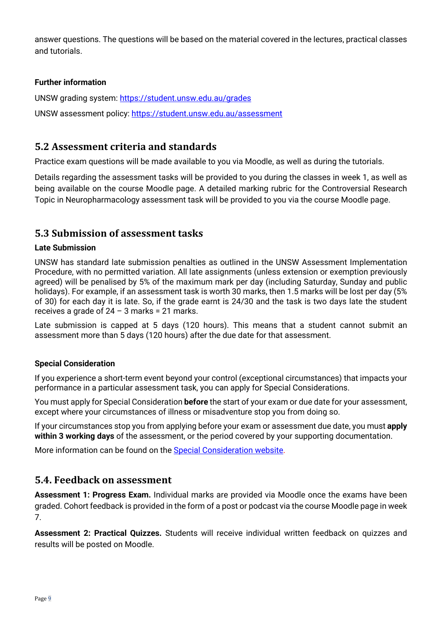answer questions. The questions will be based on the material covered in the lectures, practical classes and tutorials.

#### **Further information**

UNSW grading system:<https://student.unsw.edu.au/grades>

UNSW assessment policy:<https://student.unsw.edu.au/assessment>

### <span id="page-8-0"></span>**5.2 Assessment criteria and standards**

Practice exam questions will be made available to you via Moodle, as well as during the tutorials.

Details regarding the assessment tasks will be provided to you during the classes in week 1, as well as being available on the course Moodle page. A detailed marking rubric for the Controversial Research Topic in Neuropharmacology assessment task will be provided to you via the course Moodle page.

#### <span id="page-8-1"></span>**5.3 Submission of assessment tasks**

#### **Late Submission**

UNSW has standard late submission penalties as outlined in the UNSW Assessment Implementation Procedure, with no permitted variation. All late assignments (unless extension or exemption previously agreed) will be penalised by 5% of the maximum mark per day (including Saturday, Sunday and public holidays). For example, if an assessment task is worth 30 marks, then 1.5 marks will be lost per day (5% of 30) for each day it is late. So, if the grade earnt is 24/30 and the task is two days late the student receives a grade of  $24 - 3$  marks = 21 marks.

Late submission is capped at 5 days (120 hours). This means that a student cannot submit an assessment more than 5 days (120 hours) after the due date for that assessment.

#### **Special Consideration**

If you experience a short-term event beyond your control (exceptional circumstances) that impacts your performance in a particular assessment task, you can apply for Special Considerations.

You must apply for Special Consideration **before** the start of your exam or due date for your assessment, except where your circumstances of illness or misadventure stop you from doing so.

If your circumstances stop you from applying before your exam or assessment due date, you must **apply within 3 working days** of the assessment, or the period covered by your supporting documentation.

More information can be found on the [Special Consideration website.](https://www.student.unsw.edu.au/special-consideration)

#### <span id="page-8-2"></span>**5.4. Feedback on assessment**

**Assessment 1: Progress Exam.** Individual marks are provided via Moodle once the exams have been graded. Cohort feedback is provided in the form of a post or podcast via the course Moodle page in week 7.

**Assessment 2: Practical Quizzes.** Students will receive individual written feedback on quizzes and results will be posted on Moodle.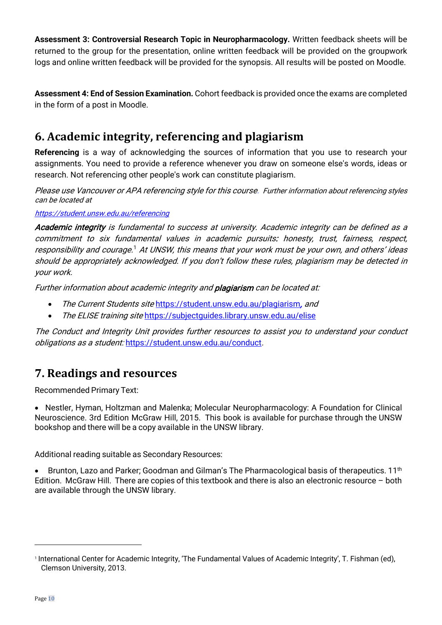**Assessment 3: Controversial Research Topic in Neuropharmacology.** Written feedback sheets will be returned to the group for the presentation, online written feedback will be provided on the groupwork logs and online written feedback will be provided for the synopsis. All results will be posted on Moodle.

**Assessment 4: End of Session Examination.** Cohort feedback is provided once the exams are completed in the form of a post in Moodle.

# <span id="page-9-0"></span>**6. Academic integrity, referencing and plagiarism**

**Referencing** is a way of acknowledging the sources of information that you use to research your assignments. You need to provide a reference whenever you draw on someone else's words, ideas or research. Not referencing other people's work can constitute plagiarism.

Please use Vancouver or APA referencing style for this course.Further information about referencing styles can be located at

<https://student.unsw.edu.au/referencing>

Academic integrity is fundamental to success at university. Academic integrity can be defined as a commitment to six fundamental values in academic pursuits: honesty, trust, fairness, respect, responsibility and courage.[1](#page-9-2) At UNSW, this means that your work must be your own, and others' ideas should be appropriately acknowledged. If you don't follow these rules, plagiarism may be detected in your work.

Further information about academic integrity and **plagiarism** can be located at:

- The Current Students site <https://student.unsw.edu.au/plagiarism>, and
- The ELISE training site https://subjectquides.library.unsw.edu.au/elise

The Conduct and Integrity Unit provides further resources to assist you to understand your conduct obligations as a student: <https://student.unsw.edu.au/conduct>.

# <span id="page-9-1"></span>**7. Readings and resources**

Recommended Primary Text:

• Nestler, Hyman, Holtzman and Malenka; Molecular Neuropharmacology: A Foundation for Clinical Neuroscience. 3rd Edition McGraw Hill, 2015. This book is available for purchase through the UNSW bookshop and there will be a copy available in the UNSW library.

Additional reading suitable as Secondary Resources:

Brunton, Lazo and Parker; Goodman and Gilman's The Pharmacological basis of therapeutics. 11<sup>th</sup> Edition. McGraw Hill. There are copies of this textbook and there is also an electronic resource – both are available through the UNSW library.

<span id="page-9-2"></span><sup>1</sup> International Center for Academic Integrity, 'The Fundamental Values of Academic Integrity', T. Fishman (ed), Clemson University, 2013.